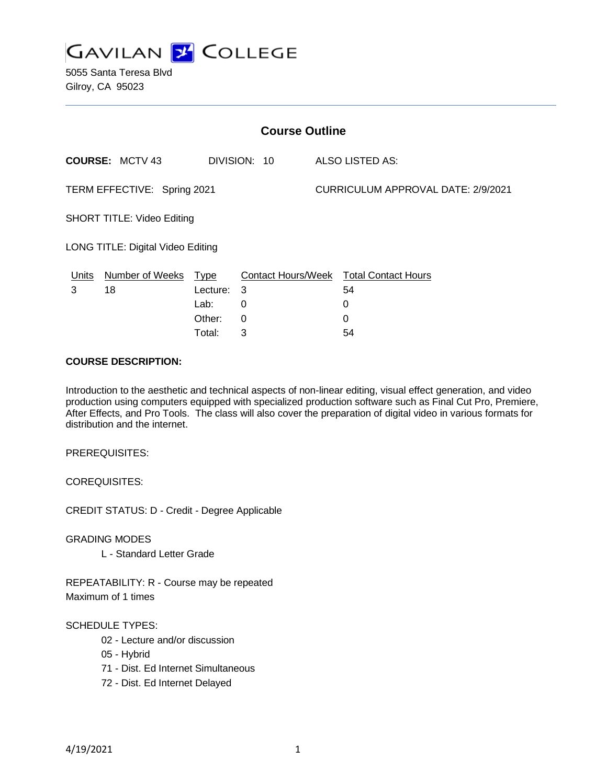

5055 Santa Teresa Blvd Gilroy, CA 95023

| <b>Course Outline</b>             |                        |             |              |                                    |                                        |
|-----------------------------------|------------------------|-------------|--------------|------------------------------------|----------------------------------------|
|                                   | <b>COURSE: MCTV 43</b> |             | DIVISION: 10 |                                    | ALSO LISTED AS:                        |
| TERM EFFECTIVE: Spring 2021       |                        |             |              | CURRICULUM APPROVAL DATE: 2/9/2021 |                                        |
| <b>SHORT TITLE: Video Editing</b> |                        |             |              |                                    |                                        |
| LONG TITLE: Digital Video Editing |                        |             |              |                                    |                                        |
| Units                             | <b>Number of Weeks</b> | <b>Type</b> |              |                                    | Contact Hours/Week Total Contact Hours |
| 3                                 | 18                     | Lecture:    | 3            |                                    | 54                                     |
|                                   |                        | Lab:        | 0            |                                    | 0                                      |
|                                   |                        | Other:      | 0            |                                    | 0                                      |
|                                   |                        | Total:      | 3            |                                    | 54                                     |

#### **COURSE DESCRIPTION:**

Introduction to the aesthetic and technical aspects of non-linear editing, visual effect generation, and video production using computers equipped with specialized production software such as Final Cut Pro, Premiere, After Effects, and Pro Tools. The class will also cover the preparation of digital video in various formats for distribution and the internet.

PREREQUISITES:

COREQUISITES:

CREDIT STATUS: D - Credit - Degree Applicable

GRADING MODES

L - Standard Letter Grade

REPEATABILITY: R - Course may be repeated Maximum of 1 times

#### SCHEDULE TYPES:

- 02 Lecture and/or discussion
- 05 Hybrid
- 71 Dist. Ed Internet Simultaneous
- 72 Dist. Ed Internet Delayed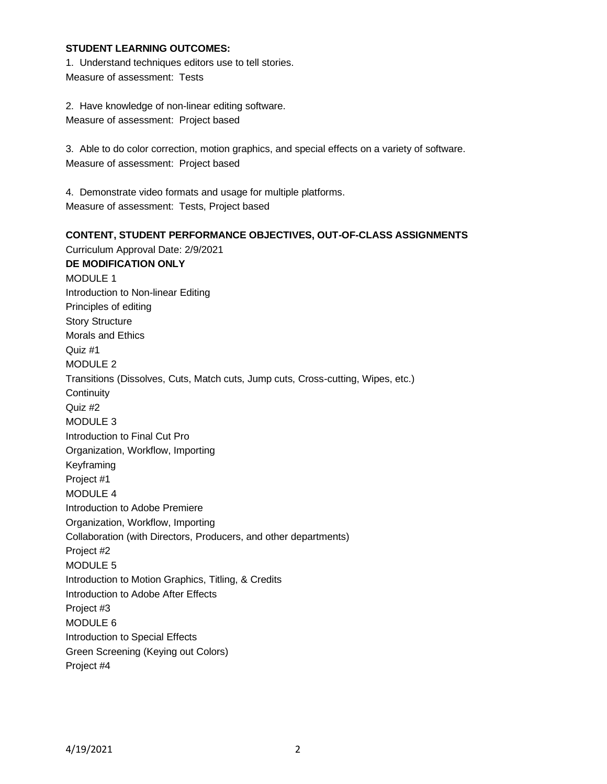#### **STUDENT LEARNING OUTCOMES:**

1. Understand techniques editors use to tell stories. Measure of assessment: Tests

2. Have knowledge of non-linear editing software. Measure of assessment: Project based

3. Able to do color correction, motion graphics, and special effects on a variety of software. Measure of assessment: Project based

4. Demonstrate video formats and usage for multiple platforms. Measure of assessment: Tests, Project based

**CONTENT, STUDENT PERFORMANCE OBJECTIVES, OUT-OF-CLASS ASSIGNMENTS** Curriculum Approval Date: 2/9/2021 **DE MODIFICATION ONLY** MODULE 1 Introduction to Non-linear Editing Principles of editing Story Structure Morals and Ethics Quiz #1 MODULE 2 Transitions (Dissolves, Cuts, Match cuts, Jump cuts, Cross-cutting, Wipes, etc.) **Continuity** Quiz #2 MODULE 3 Introduction to Final Cut Pro Organization, Workflow, Importing Keyframing Project #1 MODULE 4 Introduction to Adobe Premiere Organization, Workflow, Importing Collaboration (with Directors, Producers, and other departments) Project #2 MODULE 5 Introduction to Motion Graphics, Titling, & Credits Introduction to Adobe After Effects Project #3 MODULE 6 Introduction to Special Effects Green Screening (Keying out Colors) Project #4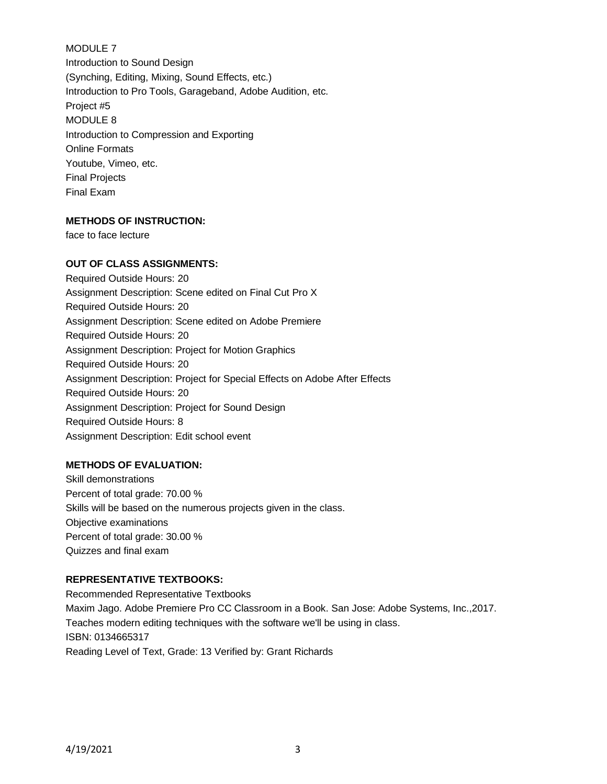# MODULE 7

Introduction to Sound Design (Synching, Editing, Mixing, Sound Effects, etc.) Introduction to Pro Tools, Garageband, Adobe Audition, etc. Project #5 MODULE 8 Introduction to Compression and Exporting Online Formats Youtube, Vimeo, etc. Final Projects Final Exam

## **METHODS OF INSTRUCTION:**

face to face lecture

#### **OUT OF CLASS ASSIGNMENTS:**

Required Outside Hours: 20 Assignment Description: Scene edited on Final Cut Pro X Required Outside Hours: 20 Assignment Description: Scene edited on Adobe Premiere Required Outside Hours: 20 Assignment Description: Project for Motion Graphics Required Outside Hours: 20 Assignment Description: Project for Special Effects on Adobe After Effects Required Outside Hours: 20 Assignment Description: Project for Sound Design Required Outside Hours: 8 Assignment Description: Edit school event

#### **METHODS OF EVALUATION:**

Skill demonstrations Percent of total grade: 70.00 % Skills will be based on the numerous projects given in the class. Objective examinations Percent of total grade: 30.00 % Quizzes and final exam

#### **REPRESENTATIVE TEXTBOOKS:**

Recommended Representative Textbooks Maxim Jago. Adobe Premiere Pro CC Classroom in a Book. San Jose: Adobe Systems, Inc.,2017. Teaches modern editing techniques with the software we'll be using in class. ISBN: 0134665317 Reading Level of Text, Grade: 13 Verified by: Grant Richards